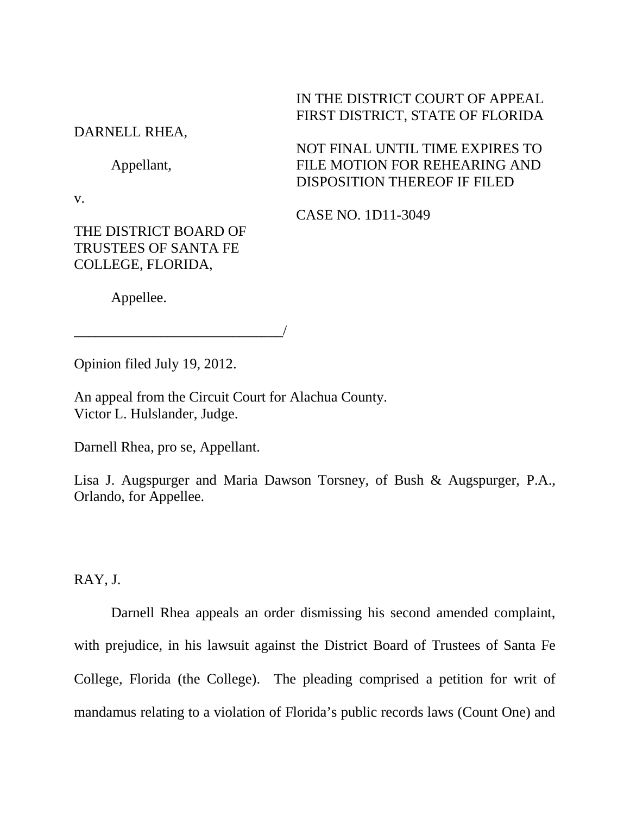# IN THE DISTRICT COURT OF APPEAL FIRST DISTRICT, STATE OF FLORIDA

NOT FINAL UNTIL TIME EXPIRES TO FILE MOTION FOR REHEARING AND

DISPOSITION THEREOF IF FILED

DARNELL RHEA,

Appellant,

v.

CASE NO. 1D11-3049

THE DISTRICT BOARD OF TRUSTEES OF SANTA FE COLLEGE, FLORIDA,

Appellee.

Opinion filed July 19, 2012.

\_\_\_\_\_\_\_\_\_\_\_\_\_\_\_\_\_\_\_\_\_\_\_\_\_\_\_\_\_/

An appeal from the Circuit Court for Alachua County. Victor L. Hulslander, Judge.

Darnell Rhea, pro se, Appellant.

Lisa J. Augspurger and Maria Dawson Torsney, of Bush & Augspurger, P.A., Orlando, for Appellee.

RAY, J.

Darnell Rhea appeals an order dismissing his second amended complaint, with prejudice, in his lawsuit against the District Board of Trustees of Santa Fe College, Florida (the College). The pleading comprised a petition for writ of mandamus relating to a violation of Florida's public records laws (Count One) and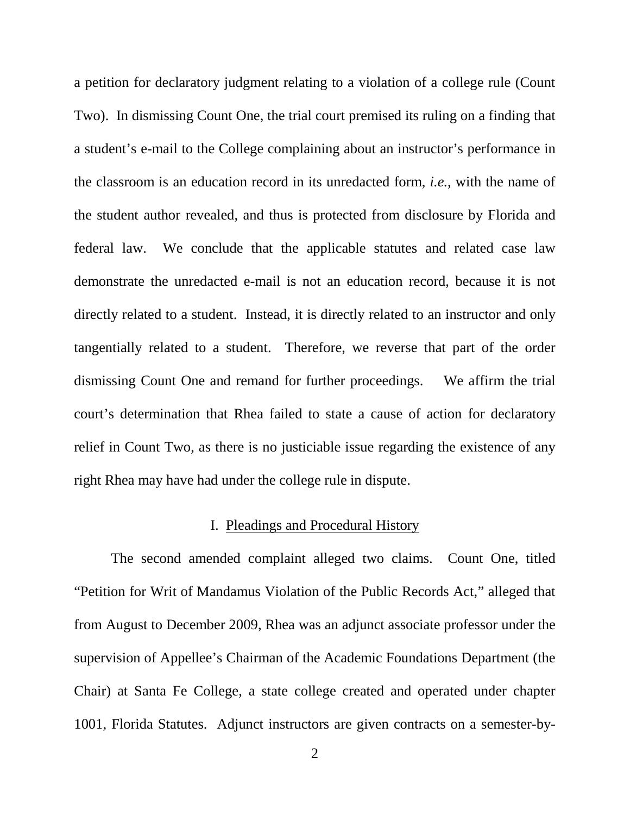a petition for declaratory judgment relating to a violation of a college rule (Count Two). In dismissing Count One, the trial court premised its ruling on a finding that a student's e-mail to the College complaining about an instructor's performance in the classroom is an education record in its unredacted form, *i.e.*, with the name of the student author revealed, and thus is protected from disclosure by Florida and federal law. We conclude that the applicable statutes and related case law demonstrate the unredacted e-mail is not an education record, because it is not directly related to a student. Instead, it is directly related to an instructor and only tangentially related to a student. Therefore, we reverse that part of the order dismissing Count One and remand for further proceedings. We affirm the trial court's determination that Rhea failed to state a cause of action for declaratory relief in Count Two, as there is no justiciable issue regarding the existence of any right Rhea may have had under the college rule in dispute.

#### I. Pleadings and Procedural History

The second amended complaint alleged two claims. Count One, titled "Petition for Writ of Mandamus Violation of the Public Records Act," alleged that from August to December 2009, Rhea was an adjunct associate professor under the supervision of Appellee's Chairman of the Academic Foundations Department (the Chair) at Santa Fe College, a state college created and operated under chapter 1001, Florida Statutes. Adjunct instructors are given contracts on a semester-by-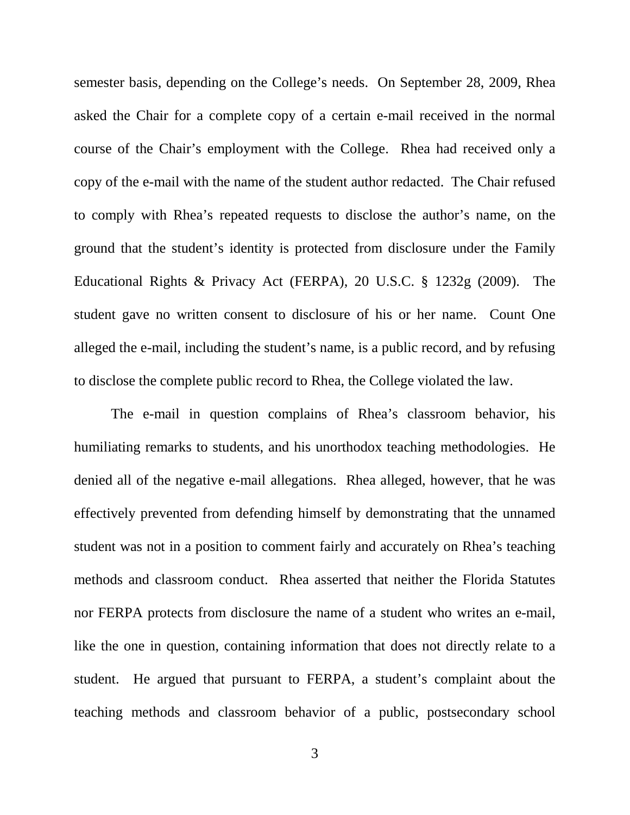semester basis, depending on the College's needs. On September 28, 2009, Rhea asked the Chair for a complete copy of a certain e-mail received in the normal course of the Chair's employment with the College. Rhea had received only a copy of the e-mail with the name of the student author redacted. The Chair refused to comply with Rhea's repeated requests to disclose the author's name, on the ground that the student's identity is protected from disclosure under the Family Educational Rights & Privacy Act (FERPA), 20 U.S.C. § 1232g (2009). The student gave no written consent to disclosure of his or her name. Count One alleged the e-mail, including the student's name, is a public record, and by refusing to disclose the complete public record to Rhea, the College violated the law.

The e-mail in question complains of Rhea's classroom behavior, his humiliating remarks to students, and his unorthodox teaching methodologies. He denied all of the negative e-mail allegations. Rhea alleged, however, that he was effectively prevented from defending himself by demonstrating that the unnamed student was not in a position to comment fairly and accurately on Rhea's teaching methods and classroom conduct. Rhea asserted that neither the Florida Statutes nor FERPA protects from disclosure the name of a student who writes an e-mail, like the one in question, containing information that does not directly relate to a student. He argued that pursuant to FERPA, a student's complaint about the teaching methods and classroom behavior of a public, postsecondary school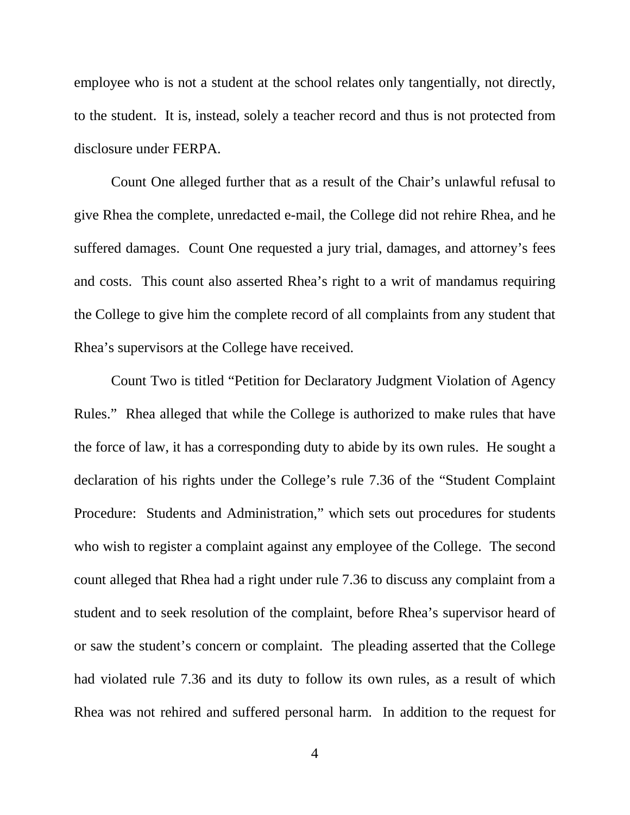employee who is not a student at the school relates only tangentially, not directly, to the student. It is, instead, solely a teacher record and thus is not protected from disclosure under FERPA.

Count One alleged further that as a result of the Chair's unlawful refusal to give Rhea the complete, unredacted e-mail, the College did not rehire Rhea, and he suffered damages. Count One requested a jury trial, damages, and attorney's fees and costs. This count also asserted Rhea's right to a writ of mandamus requiring the College to give him the complete record of all complaints from any student that Rhea's supervisors at the College have received.

Count Two is titled "Petition for Declaratory Judgment Violation of Agency Rules." Rhea alleged that while the College is authorized to make rules that have the force of law, it has a corresponding duty to abide by its own rules. He sought a declaration of his rights under the College's rule 7.36 of the "Student Complaint Procedure: Students and Administration," which sets out procedures for students who wish to register a complaint against any employee of the College. The second count alleged that Rhea had a right under rule 7.36 to discuss any complaint from a student and to seek resolution of the complaint, before Rhea's supervisor heard of or saw the student's concern or complaint. The pleading asserted that the College had violated rule 7.36 and its duty to follow its own rules, as a result of which Rhea was not rehired and suffered personal harm. In addition to the request for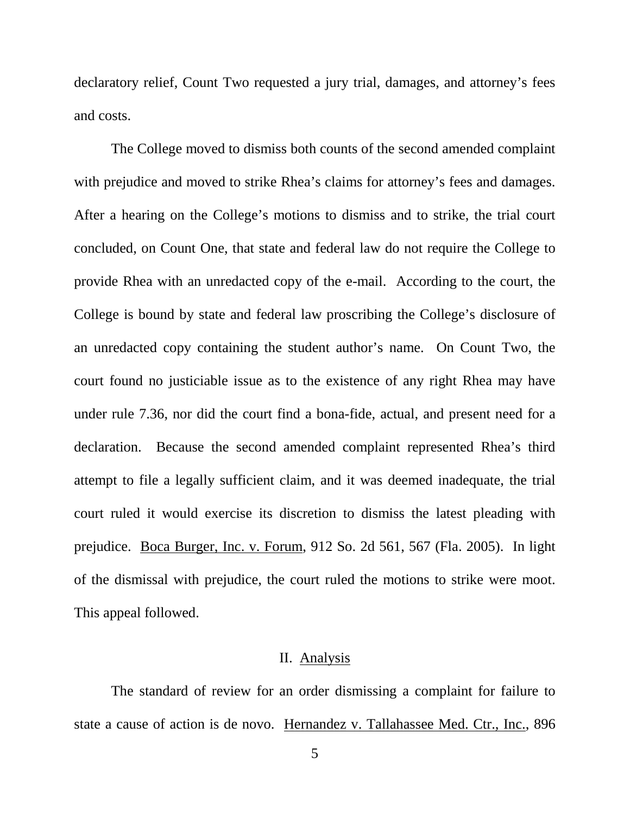declaratory relief, Count Two requested a jury trial, damages, and attorney's fees and costs.

The College moved to dismiss both counts of the second amended complaint with prejudice and moved to strike Rhea's claims for attorney's fees and damages. After a hearing on the College's motions to dismiss and to strike, the trial court concluded, on Count One, that state and federal law do not require the College to provide Rhea with an unredacted copy of the e-mail. According to the court, the College is bound by state and federal law proscribing the College's disclosure of an unredacted copy containing the student author's name. On Count Two, the court found no justiciable issue as to the existence of any right Rhea may have under rule 7.36, nor did the court find a bona-fide, actual, and present need for a declaration. Because the second amended complaint represented Rhea's third attempt to file a legally sufficient claim, and it was deemed inadequate, the trial court ruled it would exercise its discretion to dismiss the latest pleading with prejudice. Boca Burger, Inc. v. Forum, 912 So. 2d 561, 567 (Fla. 2005). In light of the dismissal with prejudice, the court ruled the motions to strike were moot. This appeal followed.

### II. Analysis

The standard of review for an order dismissing a complaint for failure to state a cause of action is de novo. Hernandez v. Tallahassee Med. Ctr., Inc., 896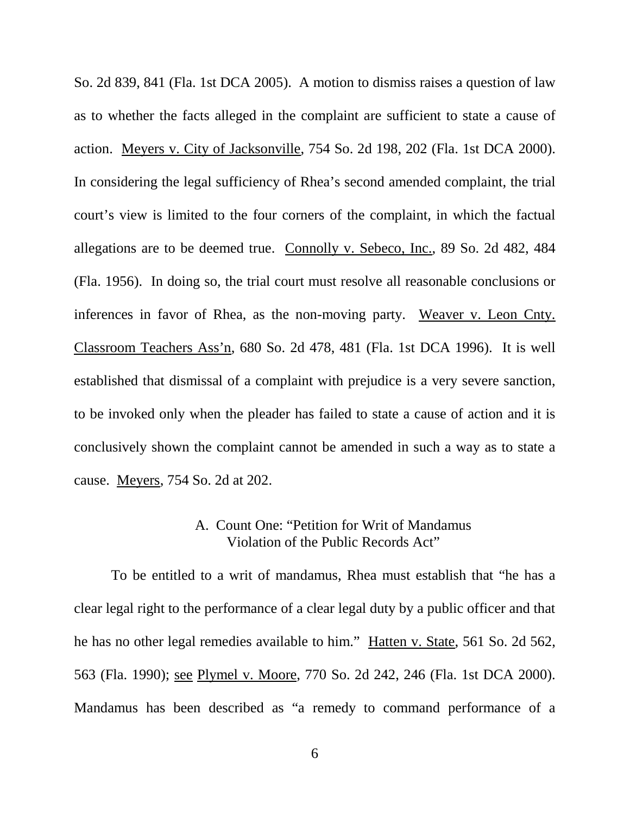So. 2d 839, 841 (Fla. 1st DCA 2005). A motion to dismiss raises a question of law as to whether the facts alleged in the complaint are sufficient to state a cause of action. Meyers v. City of Jacksonville, 754 So. 2d 198, 202 (Fla. 1st DCA 2000). In considering the legal sufficiency of Rhea's second amended complaint, the trial court's view is limited to the four corners of the complaint, in which the factual allegations are to be deemed true. Connolly v. Sebeco, Inc., 89 So. 2d 482, 484 (Fla. 1956). In doing so, the trial court must resolve all reasonable conclusions or inferences in favor of Rhea, as the non-moving party. Weaver v. Leon Cnty. Classroom Teachers Ass'n, 680 So. 2d 478, 481 (Fla. 1st DCA 1996). It is well established that dismissal of a complaint with prejudice is a very severe sanction, to be invoked only when the pleader has failed to state a cause of action and it is conclusively shown the complaint cannot be amended in such a way as to state a cause. Meyers, 754 So. 2d at 202.

## A. Count One: "Petition for Writ of Mandamus Violation of the Public Records Act"

To be entitled to a writ of mandamus, Rhea must establish that "he has a clear legal right to the performance of a clear legal duty by a public officer and that he has no other legal remedies available to him." Hatten v. State, 561 So. 2d 562, 563 (Fla. 1990); see Plymel v. Moore, 770 So. 2d 242, 246 (Fla. 1st DCA 2000). Mandamus has been described as "a remedy to command performance of a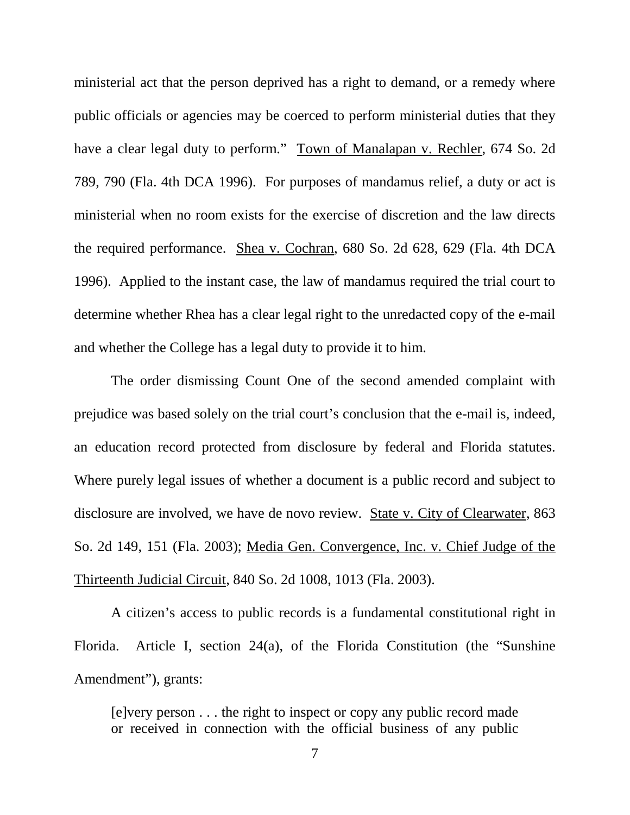ministerial act that the person deprived has a right to demand, or a remedy where public officials or agencies may be coerced to perform ministerial duties that they have a clear legal duty to perform." Town of Manalapan v. Rechler, 674 So. 2d 789, 790 (Fla. 4th DCA 1996). For purposes of mandamus relief, a duty or act is ministerial when no room exists for the exercise of discretion and the law directs the required performance. Shea v. Cochran, 680 So. 2d 628, 629 (Fla. 4th DCA 1996). Applied to the instant case, the law of mandamus required the trial court to determine whether Rhea has a clear legal right to the unredacted copy of the e-mail and whether the College has a legal duty to provide it to him.

The order dismissing Count One of the second amended complaint with prejudice was based solely on the trial court's conclusion that the e-mail is, indeed, an education record protected from disclosure by federal and Florida statutes. Where purely legal issues of whether a document is a public record and subject to disclosure are involved, we have de novo review. State v. City of Clearwater, 863 So. 2d 149, 151 (Fla. 2003); Media Gen. Convergence, Inc. v. Chief Judge of the Thirteenth Judicial Circuit, 840 So. 2d 1008, 1013 (Fla. 2003).

A citizen's access to public records is a fundamental constitutional right in Florida. Article I, section 24(a), of the Florida Constitution (the "Sunshine Amendment"), grants:

[e]very person . . . the right to inspect or copy any public record made or received in connection with the official business of any public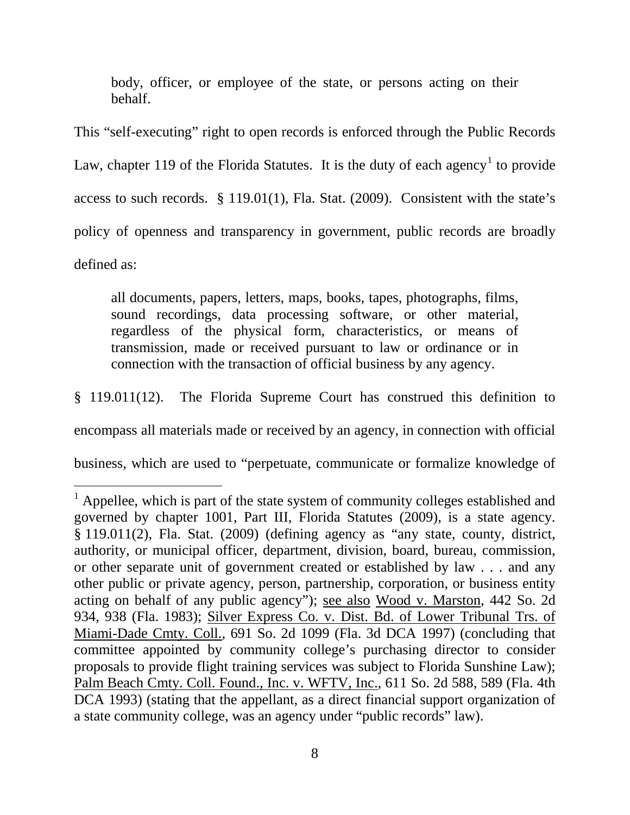body, officer, or employee of the state, or persons acting on their behalf.

This "self-executing" right to open records is enforced through the Public Records Law, chapter [1](#page-7-0)19 of the Florida Statutes. It is the duty of each agency<sup>1</sup> to provide access to such records. § 119.01(1), Fla. Stat. (2009). Consistent with the state's policy of openness and transparency in government, public records are broadly defined as:

all documents, papers, letters, maps, books, tapes, photographs, films, sound recordings, data processing software, or other material, regardless of the physical form, characteristics, or means of transmission, made or received pursuant to law or ordinance or in connection with the transaction of official business by any agency.

§ 119.011(12). The Florida Supreme Court has construed this definition to

encompass all materials made or received by an agency, in connection with official

business, which are used to "perpetuate, communicate or formalize knowledge of

<span id="page-7-0"></span> $\overline{1}$  $<sup>1</sup>$  Appellee, which is part of the state system of community colleges established and</sup> governed by chapter 1001, Part III, Florida Statutes (2009), is a state agency. § 119.011(2), Fla. Stat. (2009) (defining agency as "any state, county, district, authority, or municipal officer, department, division, board, bureau, commission, or other separate unit of government created or established by law . . . and any other public or private agency, person, partnership, corporation, or business entity acting on behalf of any public agency"); see also Wood v. Marston, 442 So. 2d 934, 938 (Fla. 1983); Silver Express Co. v. Dist. Bd. of Lower Tribunal Trs. of Miami-Dade Cmty. Coll., 691 So. 2d 1099 (Fla. 3d DCA 1997) (concluding that committee appointed by community college's purchasing director to consider proposals to provide flight training services was subject to Florida Sunshine Law); Palm Beach Cmty. Coll. Found., Inc. v. WFTV, Inc., 611 So. 2d 588, 589 (Fla. 4th DCA 1993) (stating that the appellant, as a direct financial support organization of a state community college, was an agency under "public records" law).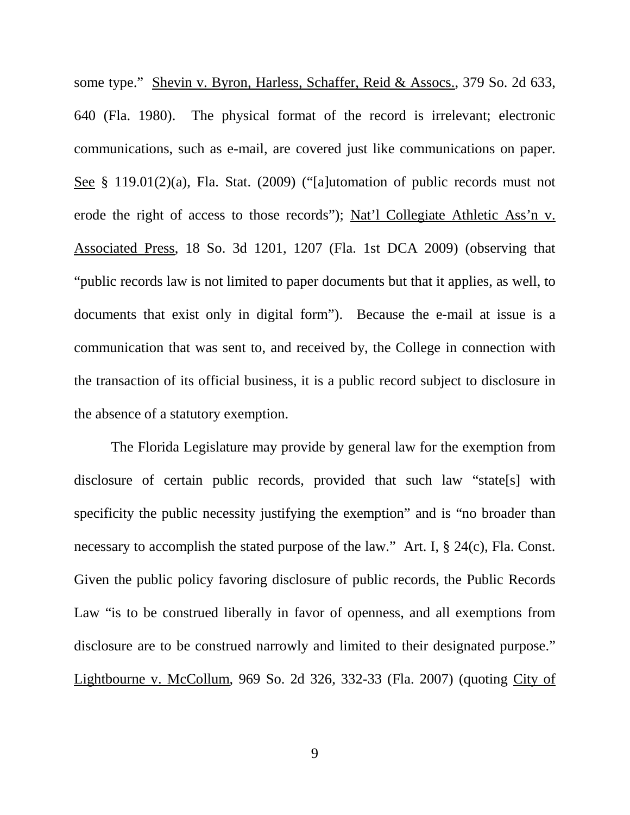some type." Shevin v. Byron, Harless, Schaffer, Reid & Assocs., 379 So. 2d 633, 640 (Fla. 1980). The physical format of the record is irrelevant; electronic communications, such as e-mail, are covered just like communications on paper. See § 119.01(2)(a), Fla. Stat. (2009) ("[a]utomation of public records must not erode the right of access to those records"); Nat'l Collegiate Athletic Ass'n v. Associated Press, 18 So. 3d 1201, 1207 (Fla. 1st DCA 2009) (observing that "public records law is not limited to paper documents but that it applies, as well, to documents that exist only in digital form"). Because the e-mail at issue is a communication that was sent to, and received by, the College in connection with the transaction of its official business, it is a public record subject to disclosure in the absence of a statutory exemption.

The Florida Legislature may provide by general law for the exemption from disclosure of certain public records, provided that such law "state[s] with specificity the public necessity justifying the exemption" and is "no broader than necessary to accomplish the stated purpose of the law." Art. I, § 24(c), Fla. Const. Given the public policy favoring disclosure of public records, the Public Records Law "is to be construed liberally in favor of openness, and all exemptions from disclosure are to be construed narrowly and limited to their designated purpose." Lightbourne v. McCollum, 969 So. 2d 326, 332-33 (Fla. 2007) (quoting City of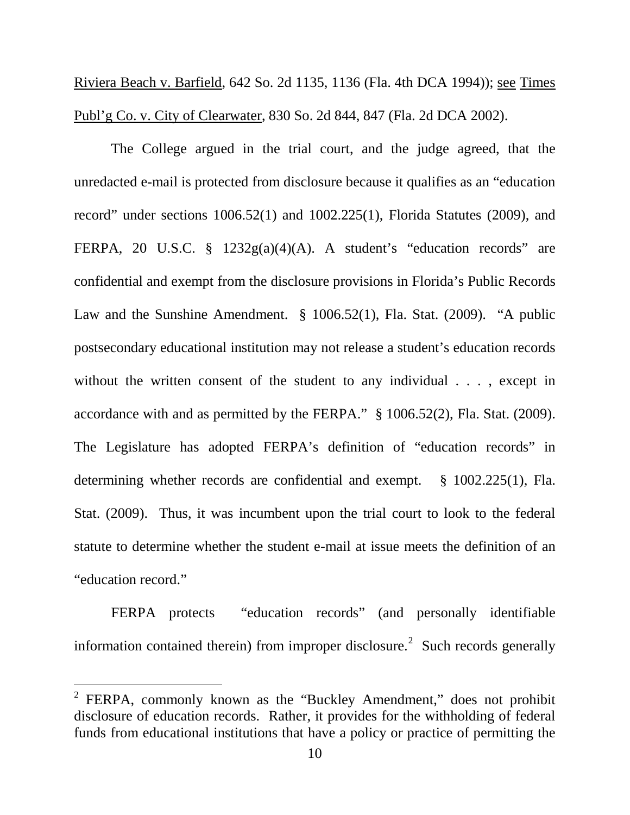Riviera Beach v. Barfield, 642 So. 2d 1135, 1136 (Fla. 4th DCA 1994)); see Times Publ'g Co. v. City of Clearwater, 830 So. 2d 844, 847 (Fla. 2d DCA 2002).

The College argued in the trial court, and the judge agreed, that the unredacted e-mail is protected from disclosure because it qualifies as an "education record" under sections 1006.52(1) and 1002.225(1), Florida Statutes (2009), and FERPA, 20 U.S.C. § 1232g(a)(4)(A). A student's "education records" are confidential and exempt from the disclosure provisions in Florida's Public Records Law and the Sunshine Amendment. § 1006.52(1), Fla. Stat. (2009). "A public postsecondary educational institution may not release a student's education records without the written consent of the student to any individual . . . , except in accordance with and as permitted by the FERPA." § 1006.52(2), Fla. Stat. (2009). The Legislature has adopted FERPA's definition of "education records" in determining whether records are confidential and exempt. § 1002.225(1), Fla. Stat. (2009). Thus, it was incumbent upon the trial court to look to the federal statute to determine whether the student e-mail at issue meets the definition of an "education record."

FERPA protects "education records" (and personally identifiable information contained therein) from improper disclosure.<sup>[2](#page-9-0)</sup> Such records generally

 $\overline{a}$ 

<span id="page-9-0"></span> $2$  FERPA, commonly known as the "Buckley Amendment," does not prohibit disclosure of education records. Rather, it provides for the withholding of federal funds from educational institutions that have a policy or practice of permitting the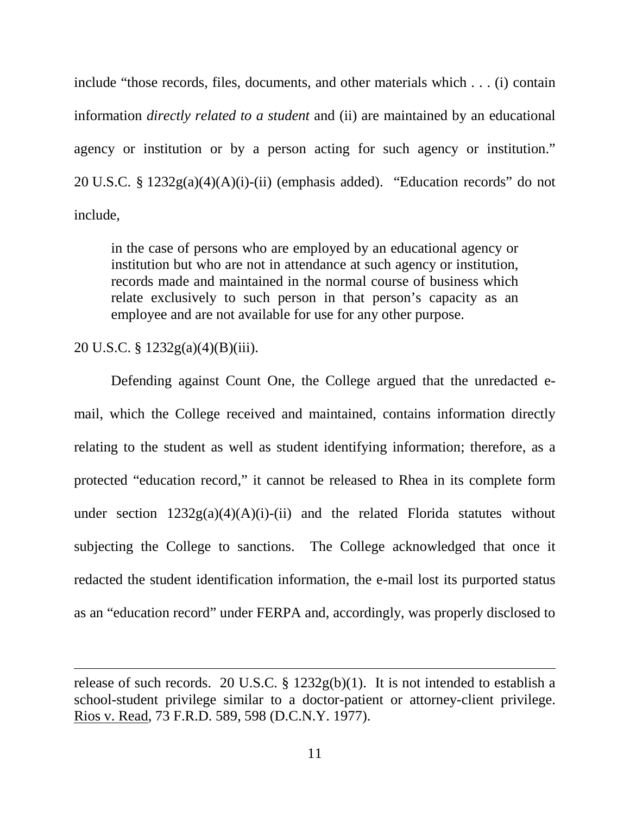include "those records, files, documents, and other materials which . . . (i) contain information *directly related to a student* and (ii) are maintained by an educational agency or institution or by a person acting for such agency or institution." 20 U.S.C. §  $1232g(a)(4)(A)(i)-(ii)$  (emphasis added). "Education records" do not include,

in the case of persons who are employed by an educational agency or institution but who are not in attendance at such agency or institution, records made and maintained in the normal course of business which relate exclusively to such person in that person's capacity as an employee and are not available for use for any other purpose.

20 U.S.C. § 1232g(a)(4)(B)(iii).

ī

Defending against Count One, the College argued that the unredacted email, which the College received and maintained, contains information directly relating to the student as well as student identifying information; therefore, as a protected "education record," it cannot be released to Rhea in its complete form under section  $1232g(a)(4)(A)(i)$ -(ii) and the related Florida statutes without subjecting the College to sanctions. The College acknowledged that once it redacted the student identification information, the e-mail lost its purported status as an "education record" under FERPA and, accordingly, was properly disclosed to

release of such records. 20 U.S.C.  $\S$  1232g(b)(1). It is not intended to establish a school-student privilege similar to a doctor-patient or attorney-client privilege. Rios v. Read, 73 F.R.D. 589, 598 (D.C.N.Y. 1977).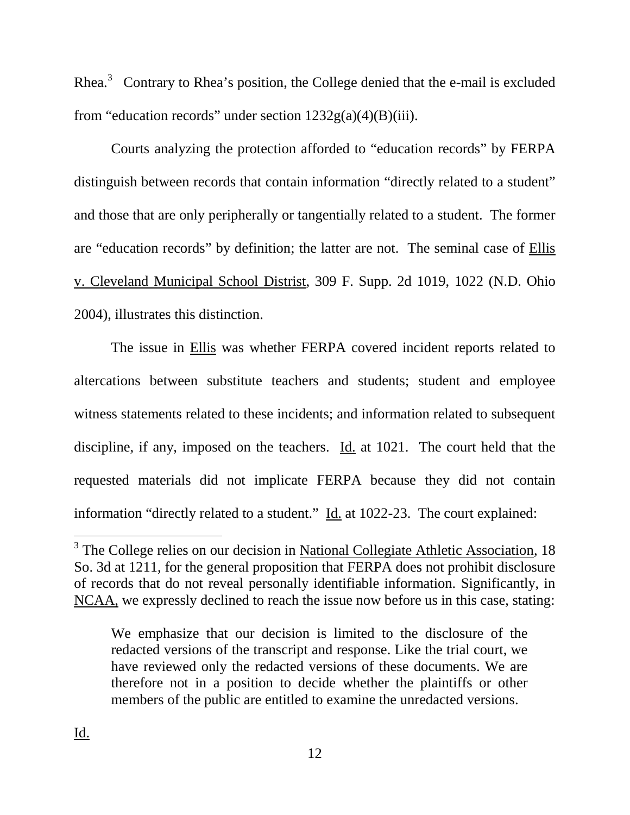Rhea. $3$  Contrary to Rhea's position, the College denied that the e-mail is excluded from "education records" under section  $1232g(a)(4)(B)(iii)$ .

Courts analyzing the protection afforded to "education records" by FERPA distinguish between records that contain information "directly related to a student" and those that are only peripherally or tangentially related to a student. The former are "education records" by definition; the latter are not. The seminal case of Ellis v. Cleveland Municipal School Distrist, 309 F. Supp. 2d 1019, 1022 (N.D. Ohio 2004), illustrates this distinction.

The issue in Ellis was whether FERPA covered incident reports related to altercations between substitute teachers and students; student and employee witness statements related to these incidents; and information related to subsequent discipline, if any, imposed on the teachers. Id. at 1021. The court held that the requested materials did not implicate FERPA because they did not contain information "directly related to a student." Id. at 1022-23. The court explained:

<span id="page-11-0"></span> $\overline{a}$ <sup>3</sup> The College relies on our decision in National Collegiate Athletic Association, 18 So. 3d at 1211, for the general proposition that FERPA does not prohibit disclosure of records that do not reveal personally identifiable information. Significantly, in NCAA, we expressly declined to reach the issue now before us in this case, stating:

We emphasize that our decision is limited to the disclosure of the redacted versions of the transcript and response. Like the trial court, we have reviewed only the redacted versions of these documents. We are therefore not in a position to decide whether the plaintiffs or other members of the public are entitled to examine the unredacted versions.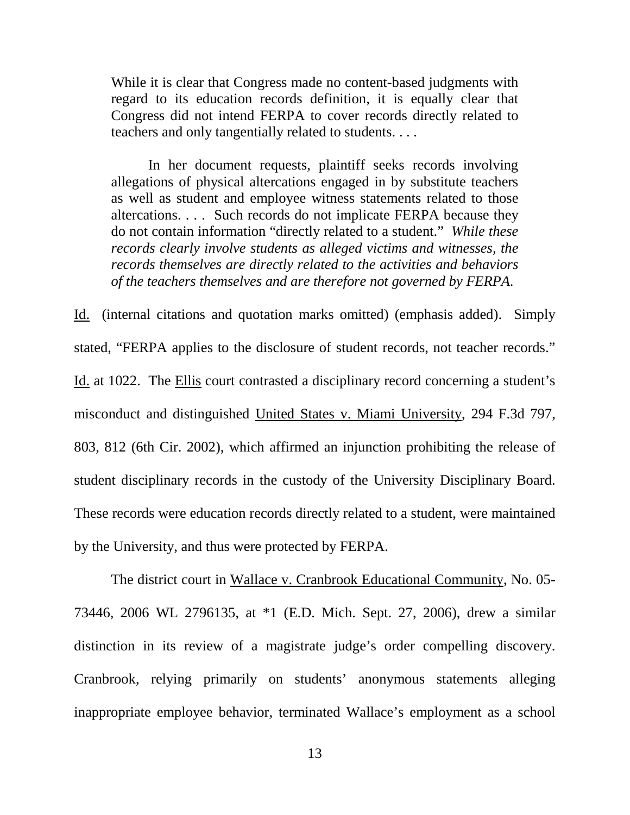While it is clear that Congress made no content-based judgments with regard to its education records definition, it is equally clear that Congress did not intend FERPA to cover records directly related to teachers and only tangentially related to students. . . .

In her document requests, plaintiff seeks records involving allegations of physical altercations engaged in by substitute teachers as well as student and employee witness statements related to those altercations. . . . Such records do not implicate FERPA because they do not contain information "directly related to a student." *While these records clearly involve students as alleged victims and witnesses, the records themselves are directly related to the activities and behaviors of the teachers themselves and are therefore not governed by FERPA*.

Id. (internal citations and quotation marks omitted) (emphasis added). Simply stated, "FERPA applies to the disclosure of student records, not teacher records." Id. at 1022. The Ellis court contrasted a disciplinary record concerning a student's misconduct and distinguished United States v. Miami University, 294 F.3d 797, 803, 812 (6th Cir. 2002), which affirmed an injunction prohibiting the release of student disciplinary records in the custody of the University Disciplinary Board. These records were education records directly related to a student, were maintained by the University, and thus were protected by FERPA.

The district court in Wallace v. Cranbrook Educational Community, No. 05- 73446, 2006 WL 2796135, at \*1 (E.D. Mich. Sept. 27, 2006), drew a similar distinction in its review of a magistrate judge's order compelling discovery. Cranbrook, relying primarily on students' anonymous statements alleging inappropriate employee behavior, terminated Wallace's employment as a school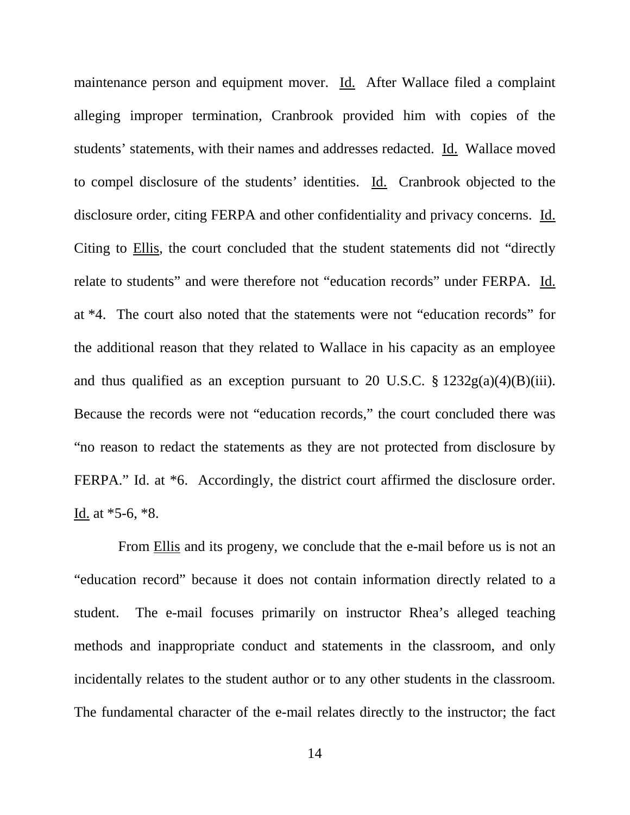maintenance person and equipment mover. Id. After Wallace filed a complaint alleging improper termination, Cranbrook provided him with copies of the students' statements, with their names and addresses redacted. Id. Wallace moved to compel disclosure of the students' identities. Id. Cranbrook objected to the disclosure order, citing FERPA and other confidentiality and privacy concerns. Id. Citing to Ellis, the court concluded that the student statements did not "directly relate to students" and were therefore not "education records" under FERPA. Id. at \*4. The court also noted that the statements were not "education records" for the additional reason that they related to Wallace in his capacity as an employee and thus qualified as an exception pursuant to 20 U.S.C.  $\S 1232g(a)(4)(B)(iii)$ . Because the records were not "education records," the court concluded there was "no reason to redact the statements as they are not protected from disclosure by FERPA." Id. at  $*6$ . Accordingly, the district court affirmed the disclosure order. Id. at \*5-6, \*8.

 From Ellis and its progeny, we conclude that the e-mail before us is not an "education record" because it does not contain information directly related to a student. The e-mail focuses primarily on instructor Rhea's alleged teaching methods and inappropriate conduct and statements in the classroom, and only incidentally relates to the student author or to any other students in the classroom. The fundamental character of the e-mail relates directly to the instructor; the fact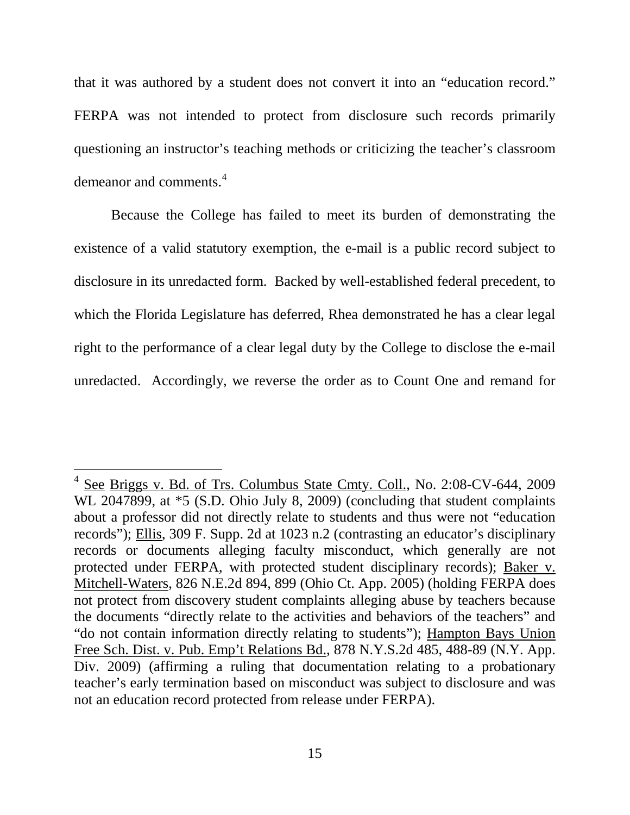that it was authored by a student does not convert it into an "education record." FERPA was not intended to protect from disclosure such records primarily questioning an instructor's teaching methods or criticizing the teacher's classroom demeanor and comments.<sup>[4](#page-14-0)</sup>

Because the College has failed to meet its burden of demonstrating the existence of a valid statutory exemption, the e-mail is a public record subject to disclosure in its unredacted form. Backed by well-established federal precedent, to which the Florida Legislature has deferred, Rhea demonstrated he has a clear legal right to the performance of a clear legal duty by the College to disclose the e-mail unredacted. Accordingly, we reverse the order as to Count One and remand for

 $\frac{1}{\sqrt{2}}$ 

<span id="page-14-0"></span><sup>&</sup>lt;sup>4</sup> See Briggs v. Bd. of Trs. Columbus State Cmty. Coll., No. 2:08-CV-644, 2009 WL 2047899, at  $*5$  (S.D. Ohio July 8, 2009) (concluding that student complaints about a professor did not directly relate to students and thus were not "education records"); Ellis, 309 F. Supp. 2d at 1023 n.2 (contrasting an educator's disciplinary records or documents alleging faculty misconduct, which generally are not protected under FERPA, with protected student disciplinary records); Baker v. Mitchell-Waters, 826 N.E.2d 894, 899 (Ohio Ct. App. 2005) (holding FERPA does not protect from discovery student complaints alleging abuse by teachers because the documents "directly relate to the activities and behaviors of the teachers" and "do not contain information directly relating to students"); Hampton Bays Union Free Sch. Dist. v. Pub. Emp't Relations Bd., 878 N.Y.S.2d 485, 488-89 (N.Y. App. Div. 2009) (affirming a ruling that documentation relating to a probationary teacher's early termination based on misconduct was subject to disclosure and was not an education record protected from release under FERPA).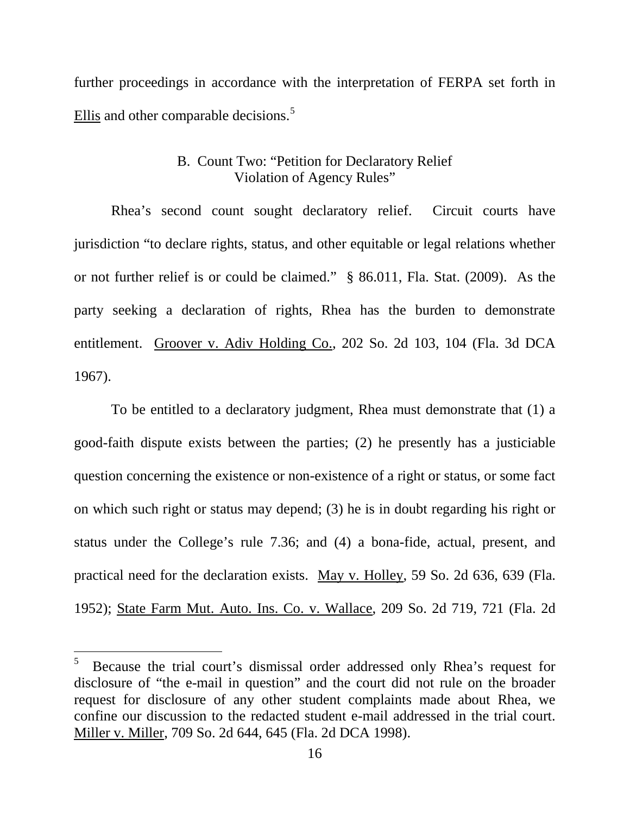further proceedings in accordance with the interpretation of FERPA set forth in Ellis and other comparable decisions.<sup>[5](#page-15-0)</sup>

# B. Count Two: "Petition for Declaratory Relief Violation of Agency Rules"

Rhea's second count sought declaratory relief. Circuit courts have jurisdiction "to declare rights, status, and other equitable or legal relations whether or not further relief is or could be claimed." § 86.011, Fla. Stat. (2009). As the party seeking a declaration of rights, Rhea has the burden to demonstrate entitlement. Groover v. Adiv Holding Co., 202 So. 2d 103, 104 (Fla. 3d DCA 1967).

To be entitled to a declaratory judgment, Rhea must demonstrate that (1) a good-faith dispute exists between the parties; (2) he presently has a justiciable question concerning the existence or non-existence of a right or status, or some fact on which such right or status may depend; (3) he is in doubt regarding his right or status under the College's rule 7.36; and (4) a bona-fide, actual, present, and practical need for the declaration exists. May v. Holley, 59 So. 2d 636, 639 (Fla. 1952); State Farm Mut. Auto. Ins. Co. v. Wallace, 209 So. 2d 719, 721 (Fla. 2d

<span id="page-15-0"></span> $\frac{1}{5}$  Because the trial court's dismissal order addressed only Rhea's request for disclosure of "the e-mail in question" and the court did not rule on the broader request for disclosure of any other student complaints made about Rhea, we confine our discussion to the redacted student e-mail addressed in the trial court. Miller v. Miller, 709 So. 2d 644, 645 (Fla. 2d DCA 1998).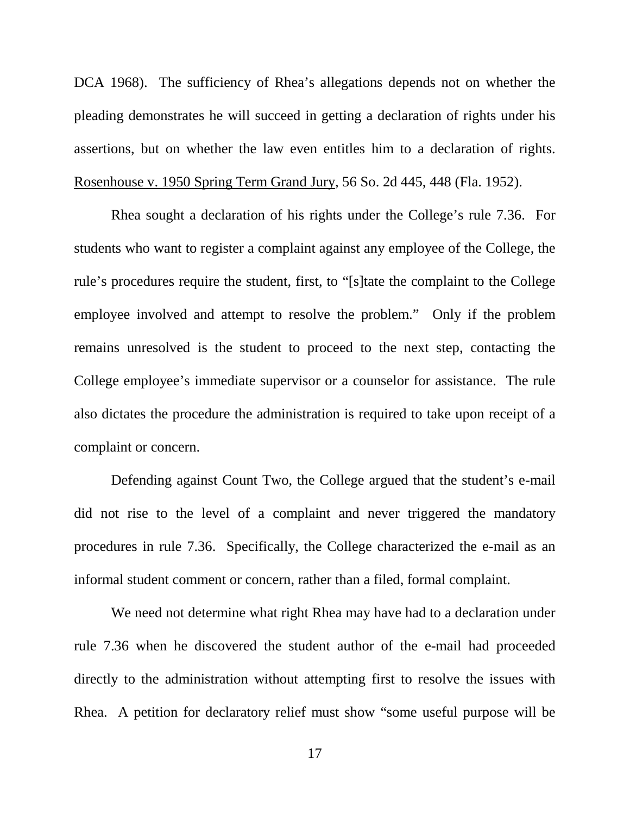DCA 1968). The sufficiency of Rhea's allegations depends not on whether the pleading demonstrates he will succeed in getting a declaration of rights under his assertions, but on whether the law even entitles him to a declaration of rights. Rosenhouse v. 1950 Spring Term Grand Jury, 56 So. 2d 445, 448 (Fla. 1952).

Rhea sought a declaration of his rights under the College's rule 7.36. For students who want to register a complaint against any employee of the College, the rule's procedures require the student, first, to "[s]tate the complaint to the College employee involved and attempt to resolve the problem." Only if the problem remains unresolved is the student to proceed to the next step, contacting the College employee's immediate supervisor or a counselor for assistance. The rule also dictates the procedure the administration is required to take upon receipt of a complaint or concern.

Defending against Count Two, the College argued that the student's e-mail did not rise to the level of a complaint and never triggered the mandatory procedures in rule 7.36. Specifically, the College characterized the e-mail as an informal student comment or concern, rather than a filed, formal complaint.

We need not determine what right Rhea may have had to a declaration under rule 7.36 when he discovered the student author of the e-mail had proceeded directly to the administration without attempting first to resolve the issues with Rhea. A petition for declaratory relief must show "some useful purpose will be